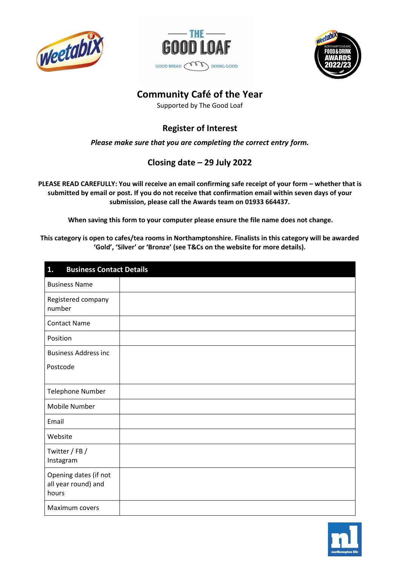





# **Community Café of the Year**

Supported by The Good Loaf

# **Register of Interest**

*Please make sure that you are completing the correct entry form.*

## **Closing date – 29 July 2022**

**PLEASE READ CAREFULLY: You will receive an email confirming safe receipt of your form – whether that is** submitted by email or post. If you do not receive that confirmation email within seven days of your **submission, please call the Awards team on 01933 664437.** 

**When saving this form to your computer please ensure the file name does not change.**

**This category is open to cafes/tea rooms in Northamptonshire. Finalists in this category will be awarded 'Gold', 'Silver' or 'Bronze' (see T&Cs on the website for more details).**

| <b>Business Contact Details</b><br>1.                 |  |  |
|-------------------------------------------------------|--|--|
| <b>Business Name</b>                                  |  |  |
| Registered company<br>number                          |  |  |
| <b>Contact Name</b>                                   |  |  |
| Position                                              |  |  |
| <b>Business Address inc</b>                           |  |  |
| Postcode                                              |  |  |
| Telephone Number                                      |  |  |
| Mobile Number                                         |  |  |
| Email                                                 |  |  |
| Website                                               |  |  |
| Twitter / FB /<br>Instagram                           |  |  |
| Opening dates (if not<br>all year round) and<br>hours |  |  |
| Maximum covers                                        |  |  |

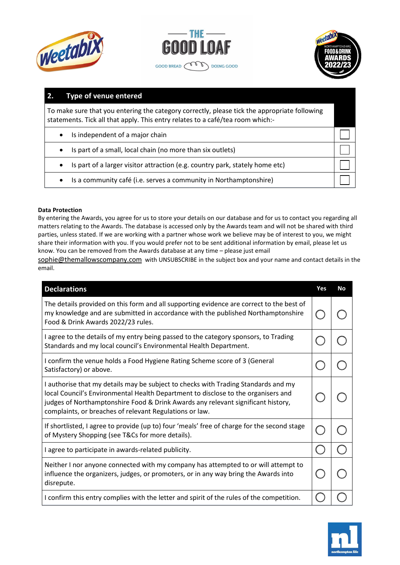





### **2. Type of venue entered**

To make sure that you entering the category correctly, please tick the appropriate following statements. Tick all that apply. This entry relates to a café/tea room which:-

- Is independent of a major chain
- Is part of a small, local chain (no more than six outlets)
- Is part of a larger visitor attraction (e.g. country park, stately home etc)
- Is a community café (i.e. serves a community in Northamptonshire)

#### **Data Protection**

By entering the Awards, you agree for us to store your details on our database and for us to contact you regarding all matters relating to the Awards. The database is accessed only by the Awards team and will not be shared with third parties, unless stated. If we are working with a partner whose work we believe may be of interest to you, we might share their information with you. If you would prefer not to be sent additional information by email, please let us know. You can be removed from the Awards database at any time – please just email

[sophie@themallowscompany.com](mailto:sophie@themallowscompany.com) with UNSUBSCRIBE in the subject box and your name and contact details in the email.

| <b>Declarations</b>                                                                                                                                                                                                                                                                                                    | Yes | <b>No</b> |
|------------------------------------------------------------------------------------------------------------------------------------------------------------------------------------------------------------------------------------------------------------------------------------------------------------------------|-----|-----------|
| The details provided on this form and all supporting evidence are correct to the best of<br>my knowledge and are submitted in accordance with the published Northamptonshire<br>Food & Drink Awards 2022/23 rules.                                                                                                     |     |           |
| I agree to the details of my entry being passed to the category sponsors, to Trading<br>Standards and my local council's Environmental Health Department.                                                                                                                                                              |     |           |
| I confirm the venue holds a Food Hygiene Rating Scheme score of 3 (General<br>Satisfactory) or above.                                                                                                                                                                                                                  |     |           |
| I authorise that my details may be subject to checks with Trading Standards and my<br>local Council's Environmental Health Department to disclose to the organisers and<br>judges of Northamptonshire Food & Drink Awards any relevant significant history,<br>complaints, or breaches of relevant Regulations or law. |     |           |
| If shortlisted, I agree to provide (up to) four 'meals' free of charge for the second stage<br>of Mystery Shopping (see T&Cs for more details).                                                                                                                                                                        |     |           |
| I agree to participate in awards-related publicity.                                                                                                                                                                                                                                                                    |     |           |
| Neither I nor anyone connected with my company has attempted to or will attempt to<br>influence the organizers, judges, or promoters, or in any way bring the Awards into<br>disrepute.                                                                                                                                |     |           |
| I confirm this entry complies with the letter and spirit of the rules of the competition.                                                                                                                                                                                                                              |     |           |

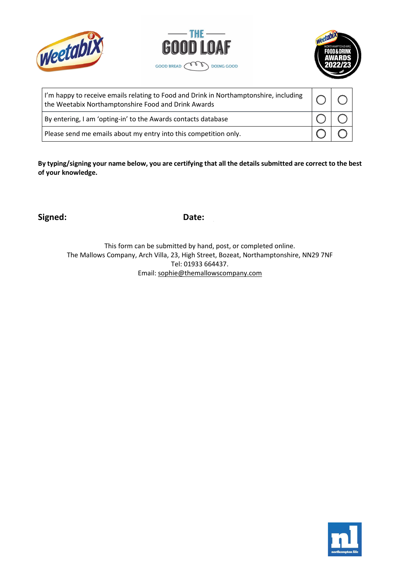





| I'm happy to receive emails relating to Food and Drink in Northamptonshire, including<br>the Weetabix Northamptonshire Food and Drink Awards |  |  |
|----------------------------------------------------------------------------------------------------------------------------------------------|--|--|
| By entering, I am 'opting-in' to the Awards contacts database                                                                                |  |  |
| Please send me emails about my entry into this competition only.                                                                             |  |  |

By typing/signing your name below, you are certifying that all the details submitted are correct to the best **of your knowledge.**

**Signed: Date:**

This form can be submitted by hand, post, or completed online. The Mallows Company, Arch Villa, 23, High Street, Bozeat, Northamptonshire, NN29 7NF Tel: 01933 664437. Email: [sophie@themallowscompany.com](mailto:sophie@themallowscompany.com)